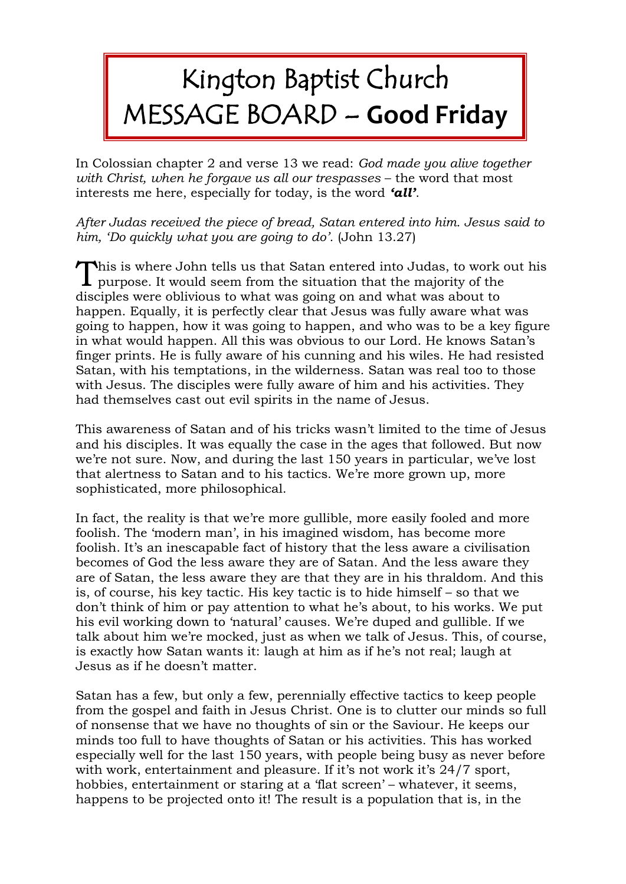## Kington Baptist Church MESSAGE BOARD – **Good Friday**

In Colossian chapter 2 and verse 13 we read: *God made you alive together with Christ, when he forgave us all our trespasses* – the word that most interests me here, especially for today, is the word *'all'*.

*After Judas received the piece of bread, Satan entered into him. Jesus said to him, 'Do quickly what you are going to do'.* (John 13.27)

This is where John tells us that Satan entered into Judas, to work out his purpose. It would seem from the situation that the majority of the purpose. It would seem from the situation that the majority of the disciples were oblivious to what was going on and what was about to happen. Equally, it is perfectly clear that Jesus was fully aware what was going to happen, how it was going to happen, and who was to be a key figure in what would happen. All this was obvious to our Lord. He knows Satan's finger prints. He is fully aware of his cunning and his wiles. He had resisted Satan, with his temptations, in the wilderness. Satan was real too to those with Jesus. The disciples were fully aware of him and his activities. They had themselves cast out evil spirits in the name of Jesus.

This awareness of Satan and of his tricks wasn't limited to the time of Jesus and his disciples. It was equally the case in the ages that followed. But now we're not sure. Now, and during the last 150 years in particular, we've lost that alertness to Satan and to his tactics. We're more grown up, more sophisticated, more philosophical.

In fact, the reality is that we're more gullible, more easily fooled and more foolish. The 'modern man', in his imagined wisdom, has become more foolish. It's an inescapable fact of history that the less aware a civilisation becomes of God the less aware they are of Satan. And the less aware they are of Satan, the less aware they are that they are in his thraldom. And this is, of course, his key tactic. His key tactic is to hide himself – so that we don't think of him or pay attention to what he's about, to his works. We put his evil working down to 'natural' causes. We're duped and gullible. If we talk about him we're mocked, just as when we talk of Jesus. This, of course, is exactly how Satan wants it: laugh at him as if he's not real; laugh at Jesus as if he doesn't matter.

Satan has a few, but only a few, perennially effective tactics to keep people from the gospel and faith in Jesus Christ. One is to clutter our minds so full of nonsense that we have no thoughts of sin or the Saviour. He keeps our minds too full to have thoughts of Satan or his activities. This has worked especially well for the last 150 years, with people being busy as never before with work, entertainment and pleasure. If it's not work it's 24/7 sport, hobbies, entertainment or staring at a 'flat screen' – whatever, it seems, happens to be projected onto it! The result is a population that is, in the